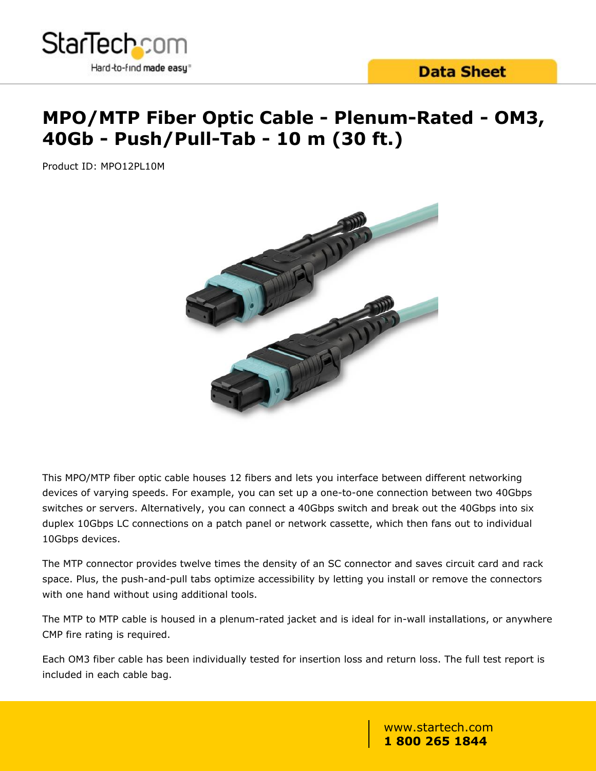

# **MPO/MTP Fiber Optic Cable - Plenum-Rated - OM3, 40Gb - Push/Pull-Tab - 10 m (30 ft.)**

Product ID: MPO12PL10M



This MPO/MTP fiber optic cable houses 12 fibers and lets you interface between different networking devices of varying speeds. For example, you can set up a one-to-one connection between two 40Gbps switches or servers. Alternatively, you can connect a 40Gbps switch and break out the 40Gbps into six duplex 10Gbps LC connections on a patch panel or network cassette, which then fans out to individual 10Gbps devices.

The MTP connector provides twelve times the density of an SC connector and saves circuit card and rack space. Plus, the push-and-pull tabs optimize accessibility by letting you install or remove the connectors with one hand without using additional tools.

The MTP to MTP cable is housed in a plenum-rated jacket and is ideal for in-wall installations, or anywhere CMP fire rating is required.

Each OM3 fiber cable has been individually tested for insertion loss and return loss. The full test report is included in each cable bag.

> www.startech.com **1 800 265 1844**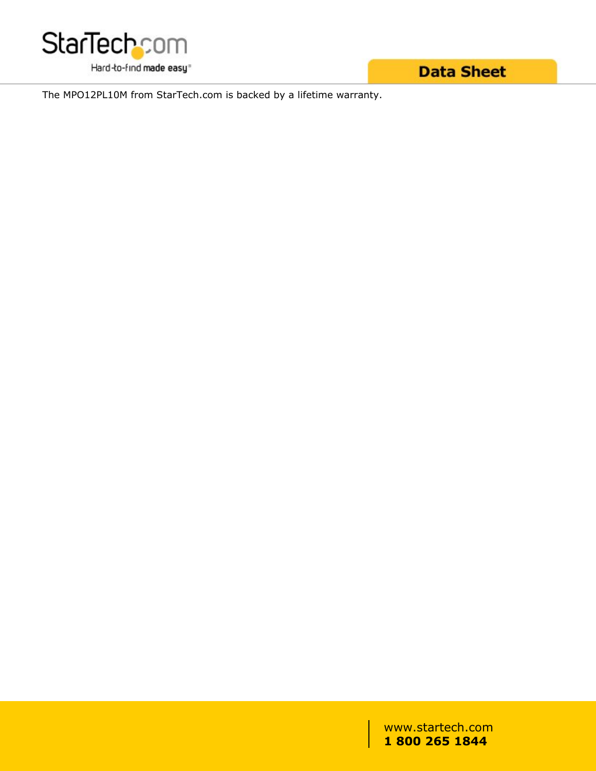

**Data Sheet** 

The MPO12PL10M from StarTech.com is backed by a lifetime warranty.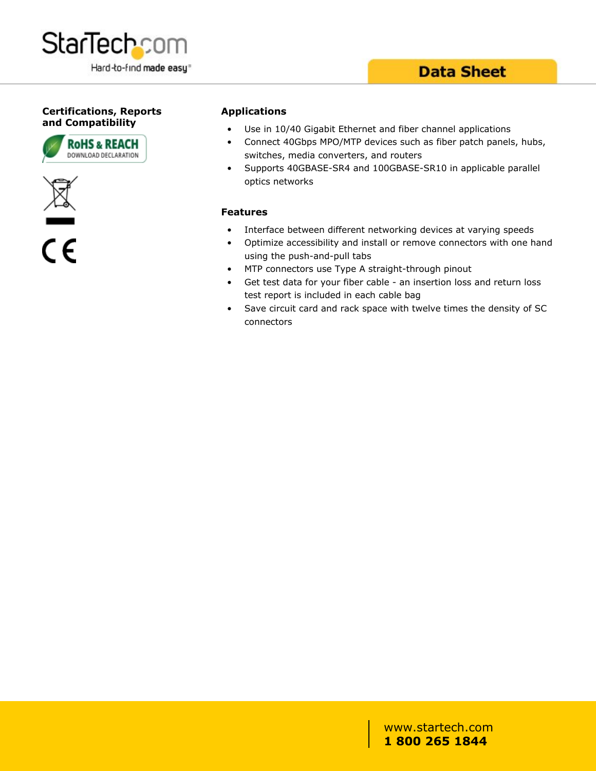

### **Data Sheet**

#### **Certifications, Reports and Compatibility**





 $\overline{\mathsf{c}\mathsf{\epsilon}}$ 

#### **Applications**

- Use in 10/40 Gigabit Ethernet and fiber channel applications
- Connect 40Gbps MPO/MTP devices such as fiber patch panels, hubs, switches, media converters, and routers
- Supports 40GBASE-SR4 and 100GBASE-SR10 in applicable parallel optics networks

#### **Features**

- Interface between different networking devices at varying speeds
- Optimize accessibility and install or remove connectors with one hand using the push-and-pull tabs
- MTP connectors use Type A straight-through pinout
- Get test data for your fiber cable an insertion loss and return loss test report is included in each cable bag
- Save circuit card and rack space with twelve times the density of SC connectors

#### www.startech.com **1 800 265 1844**